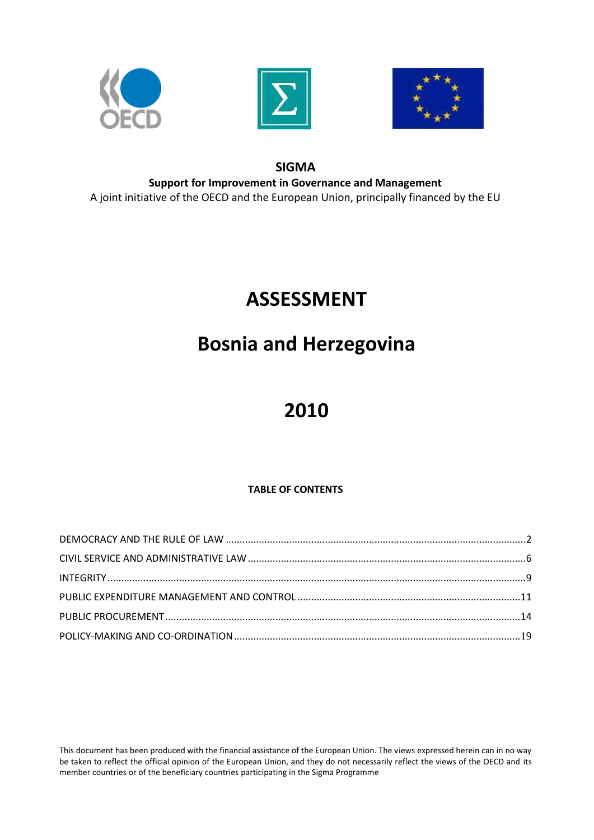





### **SIGMA**

**Support for Improvement in Governance and Management** A joint initiative of the OECD and the European Union, principally financed by the EU

# **ASSESSMENT**

## **Bosnia and Herzegovina**

# **2010**

### **TABLE OF CONTENTS**

This document has been produced with the financial assistance of the European Union. The views expressed herein can in no way be taken to reflect the official opinion of the European Union, and they do not necessarily reflect the views of the OECD and its member countries or of the beneficiary countries participating in the Sigma Programme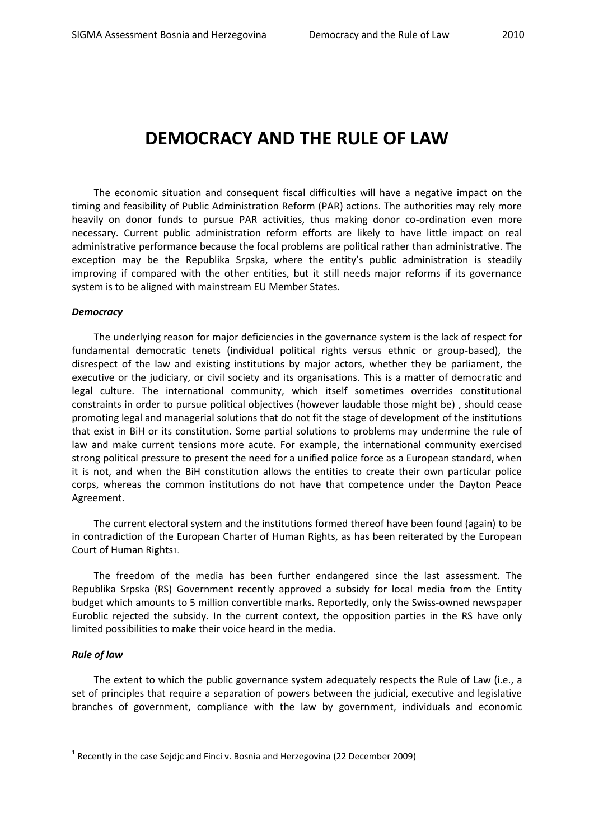## <span id="page-1-0"></span>**DEMOCRACY AND THE RULE OF LAW**

The economic situation and consequent fiscal difficulties will have a negative impact on the timing and feasibility of Public Administration Reform (PAR) actions. The authorities may rely more heavily on donor funds to pursue PAR activities, thus making donor co-ordination even more necessary. Current public administration reform efforts are likely to have little impact on real administrative performance because the focal problems are political rather than administrative. The exception may be the Republika Srpska, where the entity's public administration is steadily improving if compared with the other entities, but it still needs major reforms if its governance system is to be aligned with mainstream EU Member States.

#### *Democracy*

The underlying reason for major deficiencies in the governance system is the lack of respect for fundamental democratic tenets (individual political rights versus ethnic or group-based), the disrespect of the law and existing institutions by major actors, whether they be parliament, the executive or the judiciary, or civil society and its organisations. This is a matter of democratic and legal culture. The international community, which itself sometimes overrides constitutional constraints in order to pursue political objectives (however laudable those might be) , should cease promoting legal and managerial solutions that do not fit the stage of development of the institutions that exist in BiH or its constitution. Some partial solutions to problems may undermine the rule of law and make current tensions more acute. For example, the international community exercised strong political pressure to present the need for a unified police force as a European standard, when it is not, and when the BiH constitution allows the entities to create their own particular police corps, whereas the common institutions do not have that competence under the Dayton Peace Agreement.

The current electoral system and the institutions formed thereof have been found (again) to be in contradiction of the European Charter of Human Rights, as has been reiterated by the European Court of Human Rights1.

The freedom of the media has been further endangered since the last assessment. The Republika Srpska (RS) Government recently approved a subsidy for local media from the Entity budget which amounts to 5 million convertible marks. Reportedly, only the Swiss-owned newspaper Euroblic rejected the subsidy. In the current context, the opposition parties in the RS have only limited possibilities to make their voice heard in the media.

#### *Rule of law*

-

The extent to which the public governance system adequately respects the Rule of Law (i.e., a set of principles that require a separation of powers between the judicial, executive and legislative branches of government, compliance with the law by government, individuals and economic

 $^1$  Recently in the case Sejdjc and Finci v. Bosnia and Herzegovina (22 December 2009)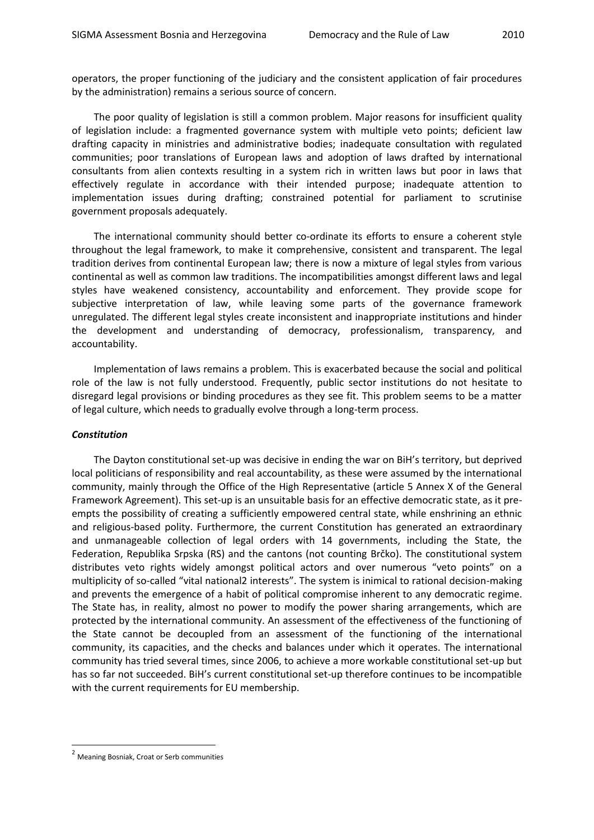operators, the proper functioning of the judiciary and the consistent application of fair procedures by the administration) remains a serious source of concern.

The poor quality of legislation is still a common problem. Major reasons for insufficient quality of legislation include: a fragmented governance system with multiple veto points; deficient law drafting capacity in ministries and administrative bodies; inadequate consultation with regulated communities; poor translations of European laws and adoption of laws drafted by international consultants from alien contexts resulting in a system rich in written laws but poor in laws that effectively regulate in accordance with their intended purpose; inadequate attention to implementation issues during drafting; constrained potential for parliament to scrutinise government proposals adequately.

The international community should better co-ordinate its efforts to ensure a coherent style throughout the legal framework, to make it comprehensive, consistent and transparent. The legal tradition derives from continental European law; there is now a mixture of legal styles from various continental as well as common law traditions. The incompatibilities amongst different laws and legal styles have weakened consistency, accountability and enforcement. They provide scope for subjective interpretation of law, while leaving some parts of the governance framework unregulated. The different legal styles create inconsistent and inappropriate institutions and hinder the development and understanding of democracy, professionalism, transparency, and accountability.

Implementation of laws remains a problem. This is exacerbated because the social and political role of the law is not fully understood. Frequently, public sector institutions do not hesitate to disregard legal provisions or binding procedures as they see fit. This problem seems to be a matter of legal culture, which needs to gradually evolve through a long-term process.

#### *Constitution*

The Dayton constitutional set-up was decisive in ending the war on BiH's territory, but deprived local politicians of responsibility and real accountability, as these were assumed by the international community, mainly through the Office of the High Representative (article 5 Annex X of the General Framework Agreement). This set-up is an unsuitable basis for an effective democratic state, as it preempts the possibility of creating a sufficiently empowered central state, while enshrining an ethnic and religious-based polity. Furthermore, the current Constitution has generated an extraordinary and unmanageable collection of legal orders with 14 governments, including the State, the Federation, Republika Srpska (RS) and the cantons (not counting Brčko). The constitutional system distributes veto rights widely amongst political actors and over numerous "veto points" on a multiplicity of so-called "vital national2 interests". The system is inimical to rational decision-making and prevents the emergence of a habit of political compromise inherent to any democratic regime. The State has, in reality, almost no power to modify the power sharing arrangements, which are protected by the international community. An assessment of the effectiveness of the functioning of the State cannot be decoupled from an assessment of the functioning of the international community, its capacities, and the checks and balances under which it operates. The international community has tried several times, since 2006, to achieve a more workable constitutional set-up but has so far not succeeded. BiH's current constitutional set-up therefore continues to be incompatible with the current requirements for EU membership.

-

<sup>&</sup>lt;sup>2</sup> Meaning Bosniak, Croat or Serb communities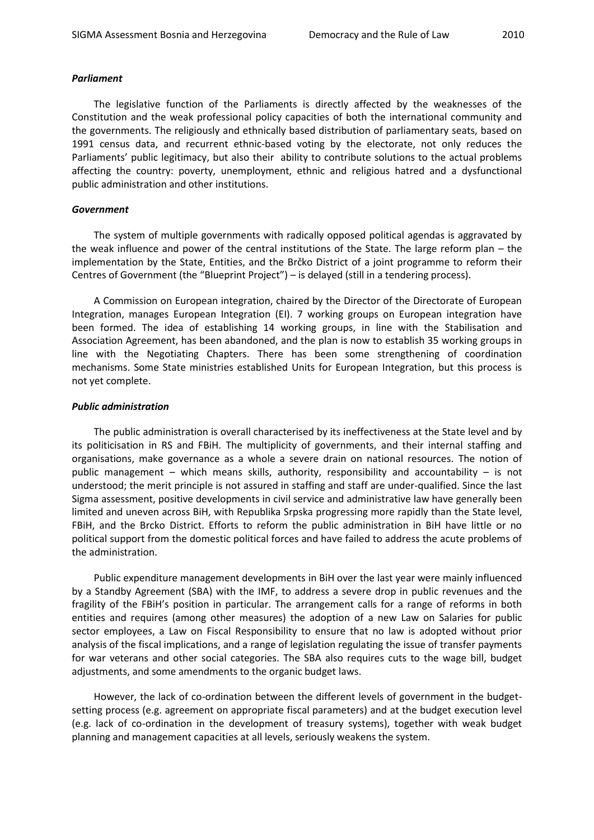#### *Parliament*

The legislative function of the Parliaments is directly affected by the weaknesses of the Constitution and the weak professional policy capacities of both the international community and the governments. The religiously and ethnically based distribution of parliamentary seats, based on 1991 census data, and recurrent ethnic-based voting by the electorate, not only reduces the Parliaments' public legitimacy, but also their ability to contribute solutions to the actual problems affecting the country: poverty, unemployment, ethnic and religious hatred and a dysfunctional public administration and other institutions.

#### *Government*

The system of multiple governments with radically opposed political agendas is aggravated by the weak influence and power of the central institutions of the State. The large reform plan – the implementation by the State, Entities, and the Brčko District of a joint programme to reform their Centres of Government (the "Blueprint Project") – is delayed (still in a tendering process).

A Commission on European integration, chaired by the Director of the Directorate of European Integration, manages European Integration (EI). 7 working groups on European integration have been formed. The idea of establishing 14 working groups, in line with the Stabilisation and Association Agreement, has been abandoned, and the plan is now to establish 35 working groups in line with the Negotiating Chapters. There has been some strengthening of coordination mechanisms. Some State ministries established Units for European Integration, but this process is not yet complete.

#### *Public administration*

The public administration is overall characterised by its ineffectiveness at the State level and by its politicisation in RS and FBiH. The multiplicity of governments, and their internal staffing and organisations, make governance as a whole a severe drain on national resources. The notion of public management – which means skills, authority, responsibility and accountability – is not understood; the merit principle is not assured in staffing and staff are under-qualified. Since the last Sigma assessment, positive developments in civil service and administrative law have generally been limited and uneven across BiH, with Republika Srpska progressing more rapidly than the State level, FBiH, and the Brcko District. Efforts to reform the public administration in BiH have little or no political support from the domestic political forces and have failed to address the acute problems of the administration.

Public expenditure management developments in BiH over the last year were mainly influenced by a Standby Agreement (SBA) with the IMF, to address a severe drop in public revenues and the fragility of the FBiH's position in particular. The arrangement calls for a range of reforms in both entities and requires (among other measures) the adoption of a new Law on Salaries for public sector employees, a Law on Fiscal Responsibility to ensure that no law is adopted without prior analysis of the fiscal implications, and a range of legislation regulating the issue of transfer payments for war veterans and other social categories. The SBA also requires cuts to the wage bill, budget adjustments, and some amendments to the organic budget laws.

However, the lack of co-ordination between the different levels of government in the budgetsetting process (e.g. agreement on appropriate fiscal parameters) and at the budget execution level (e.g. lack of co-ordination in the development of treasury systems), together with weak budget planning and management capacities at all levels, seriously weakens the system.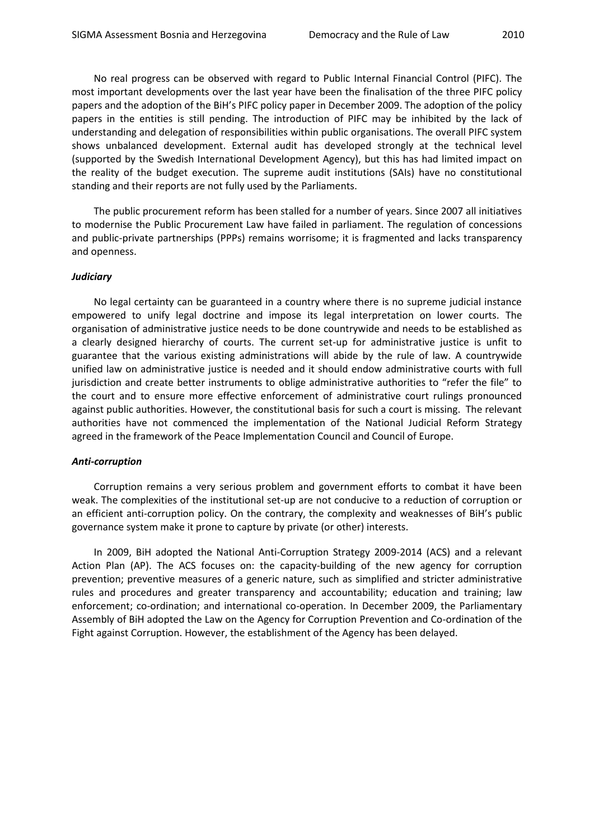No real progress can be observed with regard to Public Internal Financial Control (PIFC). The most important developments over the last year have been the finalisation of the three PIFC policy papers and the adoption of the BiH's PIFC policy paper in December 2009. The adoption of the policy papers in the entities is still pending. The introduction of PIFC may be inhibited by the lack of understanding and delegation of responsibilities within public organisations. The overall PIFC system shows unbalanced development. External audit has developed strongly at the technical level (supported by the Swedish International Development Agency), but this has had limited impact on the reality of the budget execution. The supreme audit institutions (SAIs) have no constitutional standing and their reports are not fully used by the Parliaments.

The public procurement reform has been stalled for a number of years. Since 2007 all initiatives to modernise the Public Procurement Law have failed in parliament. The regulation of concessions and public-private partnerships (PPPs) remains worrisome; it is fragmented and lacks transparency and openness.

#### *Judiciary*

No legal certainty can be guaranteed in a country where there is no supreme judicial instance empowered to unify legal doctrine and impose its legal interpretation on lower courts. The organisation of administrative justice needs to be done countrywide and needs to be established as a clearly designed hierarchy of courts. The current set-up for administrative justice is unfit to guarantee that the various existing administrations will abide by the rule of law. A countrywide unified law on administrative justice is needed and it should endow administrative courts with full jurisdiction and create better instruments to oblige administrative authorities to "refer the file" to the court and to ensure more effective enforcement of administrative court rulings pronounced against public authorities. However, the constitutional basis for such a court is missing. The relevant authorities have not commenced the implementation of the National Judicial Reform Strategy agreed in the framework of the Peace Implementation Council and Council of Europe.

#### *Anti-corruption*

Corruption remains a very serious problem and government efforts to combat it have been weak. The complexities of the institutional set-up are not conducive to a reduction of corruption or an efficient anti-corruption policy. On the contrary, the complexity and weaknesses of BiH's public governance system make it prone to capture by private (or other) interests.

In 2009, BiH adopted the National Anti-Corruption Strategy 2009-2014 (ACS) and a relevant Action Plan (AP). The ACS focuses on: the capacity-building of the new agency for corruption prevention; preventive measures of a generic nature, such as simplified and stricter administrative rules and procedures and greater transparency and accountability; education and training; law enforcement; co-ordination; and international co-operation. In December 2009, the Parliamentary Assembly of BiH adopted the Law on the Agency for Corruption Prevention and Co-ordination of the Fight against Corruption. However, the establishment of the Agency has been delayed.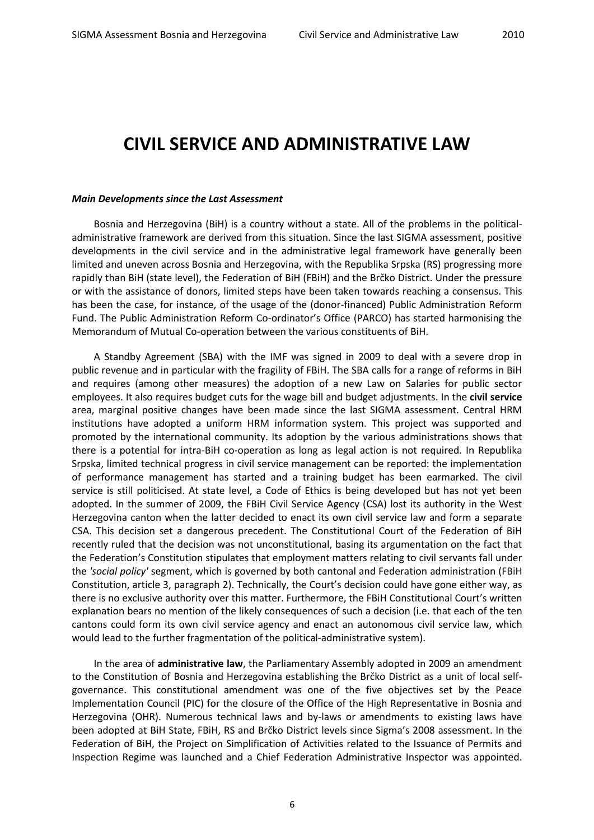### <span id="page-5-0"></span>**CIVIL SERVICE AND ADMINISTRATIVE LAW**

#### *Main Developments since the Last Assessment*

Bosnia and Herzegovina (BiH) is a country without a state. All of the problems in the politicaladministrative framework are derived from this situation. Since the last SIGMA assessment, positive developments in the civil service and in the administrative legal framework have generally been limited and uneven across Bosnia and Herzegovina, with the Republika Srpska (RS) progressing more rapidly than BiH (state level), the Federation of BiH (FBiH) and the Brčko District. Under the pressure or with the assistance of donors, limited steps have been taken towards reaching a consensus. This has been the case, for instance, of the usage of the (donor-financed) Public Administration Reform Fund. The Public Administration Reform Co-ordinator's Office (PARCO) has started harmonising the Memorandum of Mutual Co-operation between the various constituents of BiH.

A Standby Agreement (SBA) with the IMF was signed in 2009 to deal with a severe drop in public revenue and in particular with the fragility of FBiH. The SBA calls for a range of reforms in BiH and requires (among other measures) the adoption of a new Law on Salaries for public sector employees. It also requires budget cuts for the wage bill and budget adjustments. In the **civil service** area, marginal positive changes have been made since the last SIGMA assessment. Central HRM institutions have adopted a uniform HRM information system. This project was supported and promoted by the international community. Its adoption by the various administrations shows that there is a potential for intra-BiH co-operation as long as legal action is not required. In Republika Srpska, limited technical progress in civil service management can be reported: the implementation of performance management has started and a training budget has been earmarked. The civil service is still politicised. At state level, a Code of Ethics is being developed but has not yet been adopted. In the summer of 2009, the FBiH Civil Service Agency (CSA) lost its authority in the West Herzegovina canton when the latter decided to enact its own civil service law and form a separate CSA. This decision set a dangerous precedent. The Constitutional Court of the Federation of BiH recently ruled that the decision was not unconstitutional, basing its argumentation on the fact that the Federation's Constitution stipulates that employment matters relating to civil servants fall under the *'social policy'* segment, which is governed by both cantonal and Federation administration (FBiH Constitution, article 3, paragraph 2). Technically, the Court's decision could have gone either way, as there is no exclusive authority over this matter. Furthermore, the FBiH Constitutional Court's written explanation bears no mention of the likely consequences of such a decision (i.e. that each of the ten cantons could form its own civil service agency and enact an autonomous civil service law, which would lead to the further fragmentation of the political-administrative system).

In the area of **administrative law**, the Parliamentary Assembly adopted in 2009 an amendment to the Constitution of Bosnia and Herzegovina establishing the Brčko District as a unit of local selfgovernance. This constitutional amendment was one of the five objectives set by the Peace Implementation Council (PIC) for the closure of the Office of the High Representative in Bosnia and Herzegovina (OHR). Numerous technical laws and by-laws or amendments to existing laws have been adopted at BiH State, FBiH, RS and Brčko District levels since Sigma's 2008 assessment. In the Federation of BiH, the Project on Simplification of Activities related to the Issuance of Permits and Inspection Regime was launched and a Chief Federation Administrative Inspector was appointed.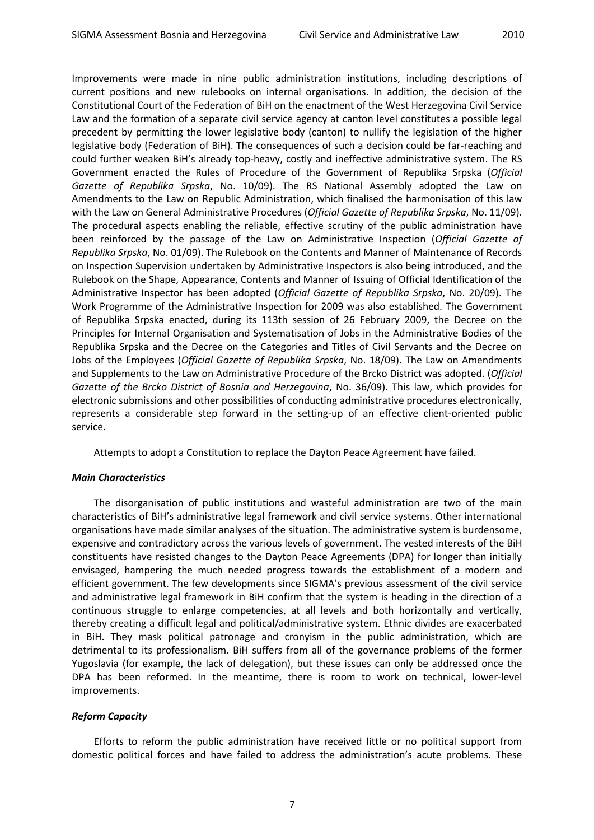Improvements were made in nine public administration institutions, including descriptions of current positions and new rulebooks on internal organisations. In addition, the decision of the Constitutional Court of the Federation of BiH on the enactment of the West Herzegovina Civil Service Law and the formation of a separate civil service agency at canton level constitutes a possible legal precedent by permitting the lower legislative body (canton) to nullify the legislation of the higher legislative body (Federation of BiH). The consequences of such a decision could be far-reaching and could further weaken BiH's already top-heavy, costly and ineffective administrative system. The RS Government enacted the Rules of Procedure of the Government of Republika Srpska (*Official Gazette of Republika Srpska*, No. 10/09). The RS National Assembly adopted the Law on Amendments to the Law on Republic Administration, which finalised the harmonisation of this law with the Law on General Administrative Procedures (*Official Gazette of Republika Srpska*, No. 11/09). The procedural aspects enabling the reliable, effective scrutiny of the public administration have been reinforced by the passage of the Law on Administrative Inspection (*Official Gazette of Republika Srpska*, No. 01/09). The Rulebook on the Contents and Manner of Maintenance of Records on Inspection Supervision undertaken by Administrative Inspectors is also being introduced, and the Rulebook on the Shape, Appearance, Contents and Manner of Issuing of Official Identification of the Administrative Inspector has been adopted (*Official Gazette of Republika Srpska*, No. 20/09). The Work Programme of the Administrative Inspection for 2009 was also established. The Government of Republika Srpska enacted, during its 113th session of 26 February 2009, the Decree on the Principles for Internal Organisation and Systematisation of Jobs in the Administrative Bodies of the Republika Srpska and the Decree on the Categories and Titles of Civil Servants and the Decree on Jobs of the Employees (*Official Gazette of Republika Srpska*, No. 18/09). The Law on Amendments and Supplements to the Law on Administrative Procedure of the Brcko District was adopted. (*Official Gazette of the Brcko District of Bosnia and Herzegovina*, No. 36/09). This law, which provides for electronic submissions and other possibilities of conducting administrative procedures electronically, represents a considerable step forward in the setting-up of an effective client-oriented public service.

Attempts to adopt a Constitution to replace the Dayton Peace Agreement have failed.

#### *Main Characteristics*

The disorganisation of public institutions and wasteful administration are two of the main characteristics of BiH's administrative legal framework and civil service systems. Other international organisations have made similar analyses of the situation. The administrative system is burdensome, expensive and contradictory across the various levels of government. The vested interests of the BiH constituents have resisted changes to the Dayton Peace Agreements (DPA) for longer than initially envisaged, hampering the much needed progress towards the establishment of a modern and efficient government. The few developments since SIGMA's previous assessment of the civil service and administrative legal framework in BiH confirm that the system is heading in the direction of a continuous struggle to enlarge competencies, at all levels and both horizontally and vertically, thereby creating a difficult legal and political/administrative system. Ethnic divides are exacerbated in BiH. They mask political patronage and cronyism in the public administration, which are detrimental to its professionalism. BiH suffers from all of the governance problems of the former Yugoslavia (for example, the lack of delegation), but these issues can only be addressed once the DPA has been reformed. In the meantime, there is room to work on technical, lower-level improvements.

#### *Reform Capacity*

Efforts to reform the public administration have received little or no political support from domestic political forces and have failed to address the administration's acute problems. These

7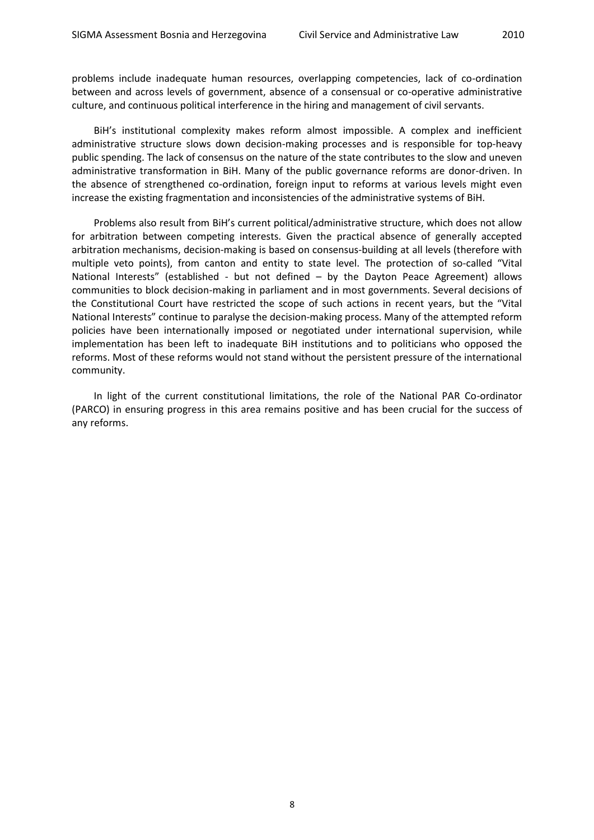problems include inadequate human resources, overlapping competencies, lack of co-ordination between and across levels of government, absence of a consensual or co-operative administrative culture, and continuous political interference in the hiring and management of civil servants.

BiH's institutional complexity makes reform almost impossible. A complex and inefficient administrative structure slows down decision-making processes and is responsible for top-heavy public spending. The lack of consensus on the nature of the state contributes to the slow and uneven administrative transformation in BiH. Many of the public governance reforms are donor-driven. In the absence of strengthened co-ordination, foreign input to reforms at various levels might even increase the existing fragmentation and inconsistencies of the administrative systems of BiH.

Problems also result from BiH's current political/administrative structure, which does not allow for arbitration between competing interests. Given the practical absence of generally accepted arbitration mechanisms, decision-making is based on consensus-building at all levels (therefore with multiple veto points), from canton and entity to state level. The protection of so-called "Vital National Interests" (established - but not defined – by the Dayton Peace Agreement) allows communities to block decision-making in parliament and in most governments. Several decisions of the Constitutional Court have restricted the scope of such actions in recent years, but the "Vital National Interests" continue to paralyse the decision-making process. Many of the attempted reform policies have been internationally imposed or negotiated under international supervision, while implementation has been left to inadequate BiH institutions and to politicians who opposed the reforms. Most of these reforms would not stand without the persistent pressure of the international community.

In light of the current constitutional limitations, the role of the National PAR Co-ordinator (PARCO) in ensuring progress in this area remains positive and has been crucial for the success of any reforms.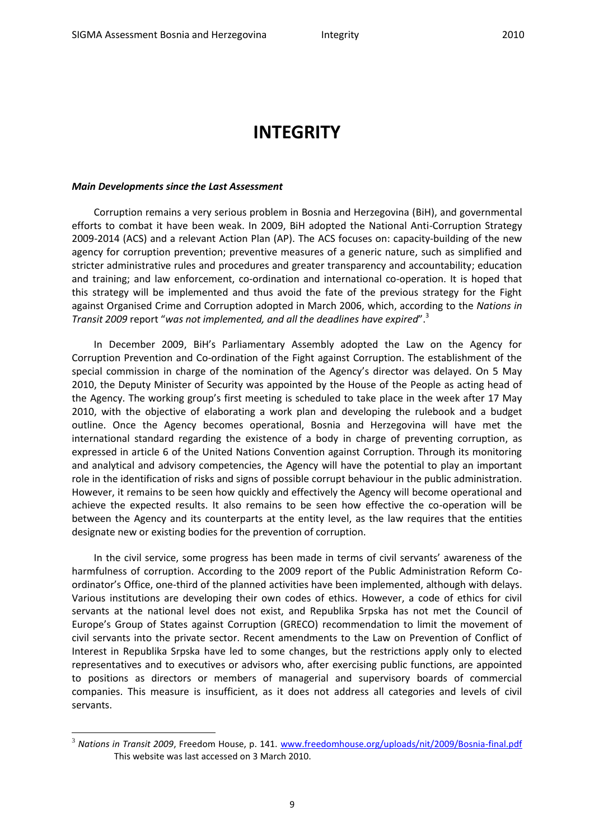## <span id="page-8-0"></span>**INTEGRITY**

#### *Main Developments since the Last Assessment*

1

Corruption remains a very serious problem in Bosnia and Herzegovina (BiH), and governmental efforts to combat it have been weak. In 2009, BiH adopted the National Anti-Corruption Strategy 2009-2014 (ACS) and a relevant Action Plan (AP). The ACS focuses on: capacity-building of the new agency for corruption prevention; preventive measures of a generic nature, such as simplified and stricter administrative rules and procedures and greater transparency and accountability; education and training; and law enforcement, co-ordination and international co-operation. It is hoped that this strategy will be implemented and thus avoid the fate of the previous strategy for the Fight against Organised Crime and Corruption adopted in March 2006, which, according to the *Nations in Transit 2009* report "*was not implemented, and all the deadlines have expired*".<sup>3</sup>

In December 2009, BiH's Parliamentary Assembly adopted the Law on the Agency for Corruption Prevention and Co-ordination of the Fight against Corruption. The establishment of the special commission in charge of the nomination of the Agency's director was delayed. On 5 May 2010, the Deputy Minister of Security was appointed by the House of the People as acting head of the Agency. The working group's first meeting is scheduled to take place in the week after 17 May 2010, with the objective of elaborating a work plan and developing the rulebook and a budget outline. Once the Agency becomes operational, Bosnia and Herzegovina will have met the international standard regarding the existence of a body in charge of preventing corruption, as expressed in article 6 of the United Nations Convention against Corruption. Through its monitoring and analytical and advisory competencies, the Agency will have the potential to play an important role in the identification of risks and signs of possible corrupt behaviour in the public administration. However, it remains to be seen how quickly and effectively the Agency will become operational and achieve the expected results. It also remains to be seen how effective the co-operation will be between the Agency and its counterparts at the entity level, as the law requires that the entities designate new or existing bodies for the prevention of corruption.

In the civil service, some progress has been made in terms of civil servants' awareness of the harmfulness of corruption. According to the 2009 report of the Public Administration Reform Coordinator's Office, one-third of the planned activities have been implemented, although with delays. Various institutions are developing their own codes of ethics. However, a code of ethics for civil servants at the national level does not exist, and Republika Srpska has not met the Council of Europe's Group of States against Corruption (GRECO) recommendation to limit the movement of civil servants into the private sector. Recent amendments to the Law on Prevention of Conflict of Interest in Republika Srpska have led to some changes, but the restrictions apply only to elected representatives and to executives or advisors who, after exercising public functions, are appointed to positions as directors or members of managerial and supervisory boards of commercial companies. This measure is insufficient, as it does not address all categories and levels of civil servants.

<sup>&</sup>lt;sup>3</sup> Nations in Transit 2009, Freedom House, p. 141. [www.freedomhouse.org/uploads/nit/2009/Bosnia-final.pdf](http://www.freedomhouse.org/uploads/nit/2009/Bosnia-final.pdf) This website was last accessed on 3 March 2010.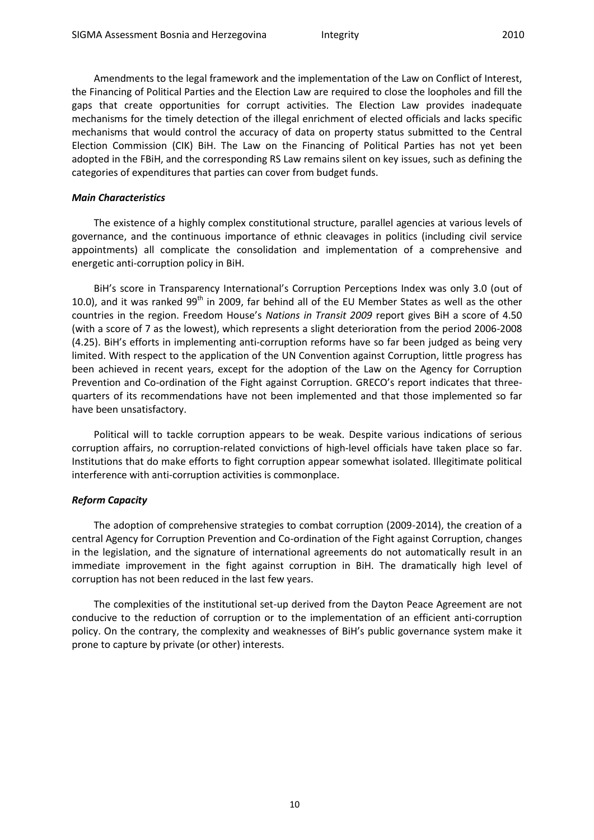Amendments to the legal framework and the implementation of the Law on Conflict of Interest, the Financing of Political Parties and the Election Law are required to close the loopholes and fill the gaps that create opportunities for corrupt activities. The Election Law provides inadequate mechanisms for the timely detection of the illegal enrichment of elected officials and lacks specific mechanisms that would control the accuracy of data on property status submitted to the Central Election Commission (CIK) BiH. The Law on the Financing of Political Parties has not yet been adopted in the FBiH, and the corresponding RS Law remains silent on key issues, such as defining the categories of expenditures that parties can cover from budget funds.

#### *Main Characteristics*

The existence of a highly complex constitutional structure, parallel agencies at various levels of governance, and the continuous importance of ethnic cleavages in politics (including civil service appointments) all complicate the consolidation and implementation of a comprehensive and energetic anti-corruption policy in BiH.

BiH's score in Transparency International's Corruption Perceptions Index was only 3.0 (out of 10.0), and it was ranked 99<sup>th</sup> in 2009, far behind all of the EU Member States as well as the other countries in the region. Freedom House's *Nations in Transit 2009* report gives BiH a score of 4.50 (with a score of 7 as the lowest), which represents a slight deterioration from the period 2006-2008 (4.25). BiH's efforts in implementing anti-corruption reforms have so far been judged as being very limited. With respect to the application of the UN Convention against Corruption, little progress has been achieved in recent years, except for the adoption of the Law on the Agency for Corruption Prevention and Co-ordination of the Fight against Corruption. GRECO's report indicates that threequarters of its recommendations have not been implemented and that those implemented so far have been unsatisfactory.

Political will to tackle corruption appears to be weak. Despite various indications of serious corruption affairs, no corruption-related convictions of high-level officials have taken place so far. Institutions that do make efforts to fight corruption appear somewhat isolated. Illegitimate political interference with anti-corruption activities is commonplace.

#### *Reform Capacity*

The adoption of comprehensive strategies to combat corruption (2009-2014), the creation of a central Agency for Corruption Prevention and Co-ordination of the Fight against Corruption, changes in the legislation, and the signature of international agreements do not automatically result in an immediate improvement in the fight against corruption in BiH. The dramatically high level of corruption has not been reduced in the last few years.

The complexities of the institutional set-up derived from the Dayton Peace Agreement are not conducive to the reduction of corruption or to the implementation of an efficient anti-corruption policy. On the contrary, the complexity and weaknesses of BiH's public governance system make it prone to capture by private (or other) interests.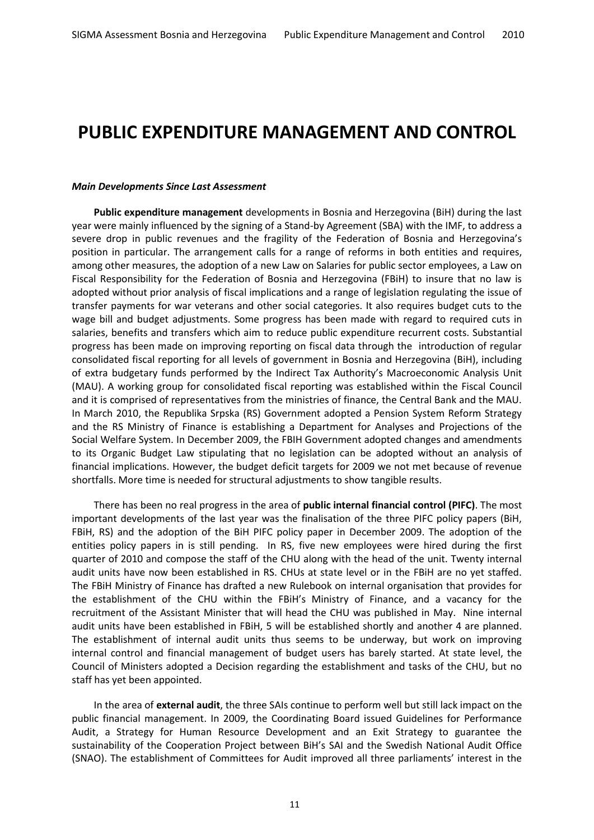### <span id="page-10-0"></span>**PUBLIC EXPENDITURE MANAGEMENT AND CONTROL**

#### *Main Developments Since Last Assessment*

**Public expenditure management** developments in Bosnia and Herzegovina (BiH) during the last year were mainly influenced by the signing of a Stand-by Agreement (SBA) with the IMF, to address a severe drop in public revenues and the fragility of the Federation of Bosnia and Herzegovina's position in particular. The arrangement calls for a range of reforms in both entities and requires, among other measures, the adoption of a new Law on Salaries for public sector employees, a Law on Fiscal Responsibility for the Federation of Bosnia and Herzegovina (FBiH) to insure that no law is adopted without prior analysis of fiscal implications and a range of legislation regulating the issue of transfer payments for war veterans and other social categories. It also requires budget cuts to the wage bill and budget adjustments. Some progress has been made with regard to required cuts in salaries, benefits and transfers which aim to reduce public expenditure recurrent costs. Substantial progress has been made on improving reporting on fiscal data through the introduction of regular consolidated fiscal reporting for all levels of government in Bosnia and Herzegovina (BiH), including of extra budgetary funds performed by the Indirect Tax Authority's Macroeconomic Analysis Unit (MAU). A working group for consolidated fiscal reporting was established within the Fiscal Council and it is comprised of representatives from the ministries of finance, the Central Bank and the MAU. In March 2010, the Republika Srpska (RS) Government adopted a Pension System Reform Strategy and the RS Ministry of Finance is establishing a Department for Analyses and Projections of the Social Welfare System. In December 2009, the FBIH Government adopted changes and amendments to its Organic Budget Law stipulating that no legislation can be adopted without an analysis of financial implications. However, the budget deficit targets for 2009 we not met because of revenue shortfalls. More time is needed for structural adjustments to show tangible results.

There has been no real progress in the area of **public internal financial control (PIFC)**. The most important developments of the last year was the finalisation of the three PIFC policy papers (BiH, FBiH, RS) and the adoption of the BiH PIFC policy paper in December 2009. The adoption of the entities policy papers in is still pending. In RS, five new employees were hired during the first quarter of 2010 and compose the staff of the CHU along with the head of the unit. Twenty internal audit units have now been established in RS. CHUs at state level or in the FBiH are no yet staffed. The FBiH Ministry of Finance has drafted a new Rulebook on internal organisation that provides for the establishment of the CHU within the FBiH's Ministry of Finance, and a vacancy for the recruitment of the Assistant Minister that will head the CHU was published in May. Nine internal audit units have been established in FBiH, 5 will be established shortly and another 4 are planned. The establishment of internal audit units thus seems to be underway, but work on improving internal control and financial management of budget users has barely started. At state level, the Council of Ministers adopted a Decision regarding the establishment and tasks of the CHU, but no staff has yet been appointed.

In the area of **external audit**, the three SAIs continue to perform well but still lack impact on the public financial management. In 2009, the Coordinating Board issued Guidelines for Performance Audit, a Strategy for Human Resource Development and an Exit Strategy to guarantee the sustainability of the Cooperation Project between BiH's SAI and the Swedish National Audit Office (SNAO). The establishment of Committees for Audit improved all three parliaments' interest in the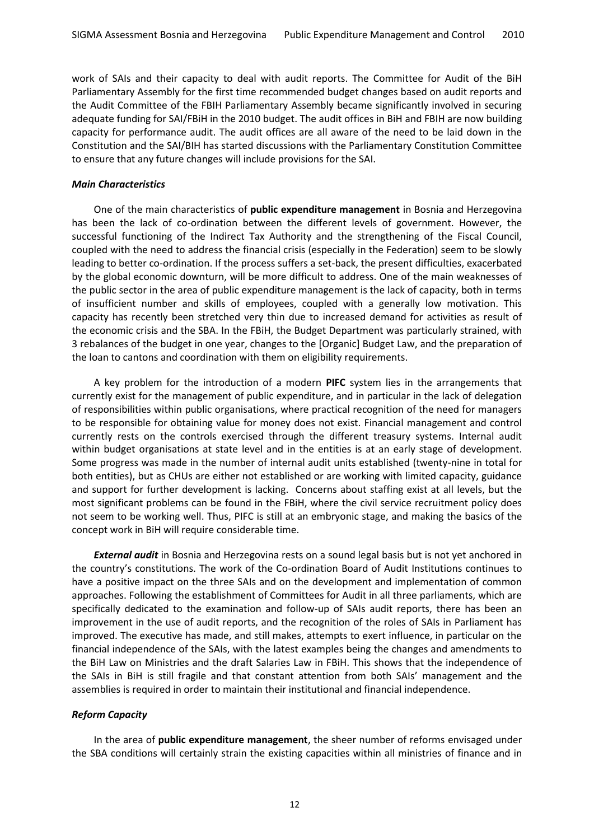work of SAIs and their capacity to deal with audit reports. The Committee for Audit of the BiH Parliamentary Assembly for the first time recommended budget changes based on audit reports and the Audit Committee of the FBIH Parliamentary Assembly became significantly involved in securing adequate funding for SAI/FBiH in the 2010 budget. The audit offices in BiH and FBIH are now building capacity for performance audit. The audit offices are all aware of the need to be laid down in the Constitution and the SAI/BIH has started discussions with the Parliamentary Constitution Committee to ensure that any future changes will include provisions for the SAI.

#### *Main Characteristics*

One of the main characteristics of **public expenditure management** in Bosnia and Herzegovina has been the lack of co-ordination between the different levels of government. However, the successful functioning of the Indirect Tax Authority and the strengthening of the Fiscal Council, coupled with the need to address the financial crisis (especially in the Federation) seem to be slowly leading to better co-ordination. If the process suffers a set-back, the present difficulties, exacerbated by the global economic downturn, will be more difficult to address. One of the main weaknesses of the public sector in the area of public expenditure management is the lack of capacity, both in terms of insufficient number and skills of employees, coupled with a generally low motivation. This capacity has recently been stretched very thin due to increased demand for activities as result of the economic crisis and the SBA. In the FBiH, the Budget Department was particularly strained, with 3 rebalances of the budget in one year, changes to the [Organic] Budget Law, and the preparation of the loan to cantons and coordination with them on eligibility requirements.

A key problem for the introduction of a modern **PIFC** system lies in the arrangements that currently exist for the management of public expenditure, and in particular in the lack of delegation of responsibilities within public organisations, where practical recognition of the need for managers to be responsible for obtaining value for money does not exist. Financial management and control currently rests on the controls exercised through the different treasury systems. Internal audit within budget organisations at state level and in the entities is at an early stage of development. Some progress was made in the number of internal audit units established (twenty-nine in total for both entities), but as CHUs are either not established or are working with limited capacity, guidance and support for further development is lacking. Concerns about staffing exist at all levels, but the most significant problems can be found in the FBiH, where the civil service recruitment policy does not seem to be working well. Thus, PIFC is still at an embryonic stage, and making the basics of the concept work in BiH will require considerable time.

*External audit* in Bosnia and Herzegovina rests on a sound legal basis but is not yet anchored in the country's constitutions. The work of the Co-ordination Board of Audit Institutions continues to have a positive impact on the three SAIs and on the development and implementation of common approaches. Following the establishment of Committees for Audit in all three parliaments, which are specifically dedicated to the examination and follow-up of SAIs audit reports, there has been an improvement in the use of audit reports, and the recognition of the roles of SAIs in Parliament has improved. The executive has made, and still makes, attempts to exert influence, in particular on the financial independence of the SAIs, with the latest examples being the changes and amendments to the BiH Law on Ministries and the draft Salaries Law in FBiH. This shows that the independence of the SAIs in BiH is still fragile and that constant attention from both SAIs' management and the assemblies is required in order to maintain their institutional and financial independence.

#### *Reform Capacity*

In the area of **public expenditure management**, the sheer number of reforms envisaged under the SBA conditions will certainly strain the existing capacities within all ministries of finance and in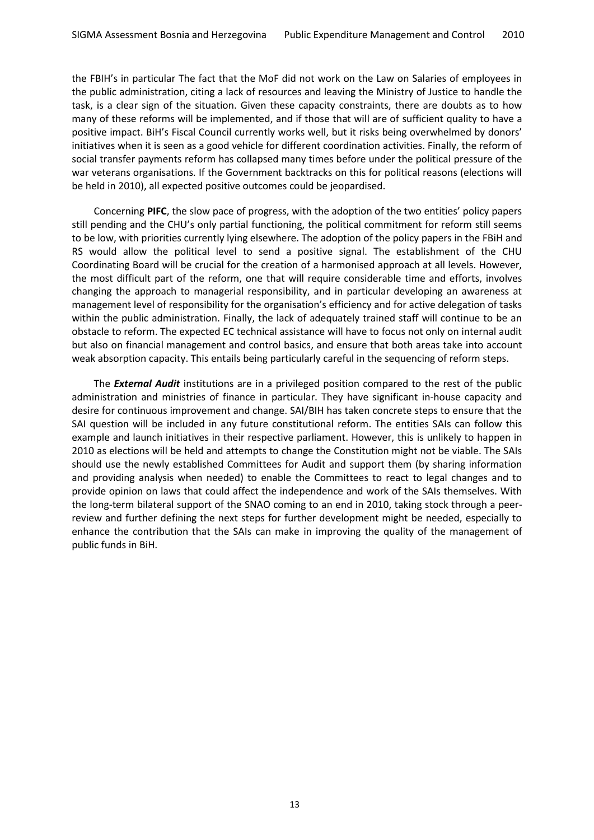the FBIH's in particular The fact that the MoF did not work on the Law on Salaries of employees in the public administration, citing a lack of resources and leaving the Ministry of Justice to handle the task, is a clear sign of the situation. Given these capacity constraints, there are doubts as to how many of these reforms will be implemented, and if those that will are of sufficient quality to have a positive impact. BiH's Fiscal Council currently works well, but it risks being overwhelmed by donors' initiatives when it is seen as a good vehicle for different coordination activities. Finally, the reform of social transfer payments reform has collapsed many times before under the political pressure of the war veterans organisations. If the Government backtracks on this for political reasons (elections will be held in 2010), all expected positive outcomes could be jeopardised.

Concerning **PIFC**, the slow pace of progress, with the adoption of the two entities' policy papers still pending and the CHU's only partial functioning, the political commitment for reform still seems to be low, with priorities currently lying elsewhere. The adoption of the policy papers in the FBiH and RS would allow the political level to send a positive signal. The establishment of the CHU Coordinating Board will be crucial for the creation of a harmonised approach at all levels. However, the most difficult part of the reform, one that will require considerable time and efforts, involves changing the approach to managerial responsibility, and in particular developing an awareness at management level of responsibility for the organisation's efficiency and for active delegation of tasks within the public administration. Finally, the lack of adequately trained staff will continue to be an obstacle to reform. The expected EC technical assistance will have to focus not only on internal audit but also on financial management and control basics, and ensure that both areas take into account weak absorption capacity. This entails being particularly careful in the sequencing of reform steps.

The *External Audit* institutions are in a privileged position compared to the rest of the public administration and ministries of finance in particular. They have significant in-house capacity and desire for continuous improvement and change. SAI/BIH has taken concrete steps to ensure that the SAI question will be included in any future constitutional reform. The entities SAIs can follow this example and launch initiatives in their respective parliament. However, this is unlikely to happen in 2010 as elections will be held and attempts to change the Constitution might not be viable. The SAIs should use the newly established Committees for Audit and support them (by sharing information and providing analysis when needed) to enable the Committees to react to legal changes and to provide opinion on laws that could affect the independence and work of the SAIs themselves. With the long-term bilateral support of the SNAO coming to an end in 2010, taking stock through a peerreview and further defining the next steps for further development might be needed, especially to enhance the contribution that the SAIs can make in improving the quality of the management of public funds in BiH.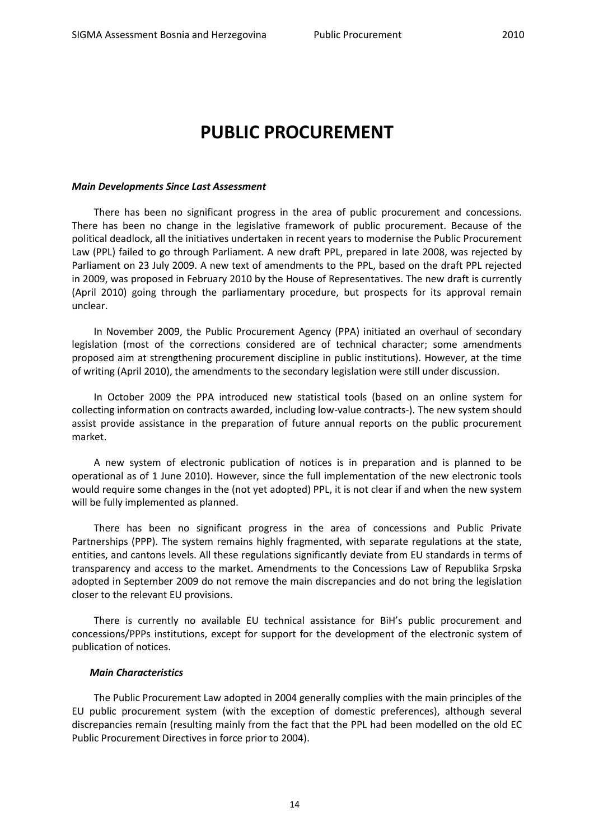### <span id="page-13-0"></span>**PUBLIC PROCUREMENT**

#### *Main Developments Since Last Assessment*

There has been no significant progress in the area of public procurement and concessions. There has been no change in the legislative framework of public procurement. Because of the political deadlock, all the initiatives undertaken in recent years to modernise the Public Procurement Law (PPL) failed to go through Parliament. A new draft PPL, prepared in late 2008, was rejected by Parliament on 23 July 2009. A new text of amendments to the PPL, based on the draft PPL rejected in 2009, was proposed in February 2010 by the House of Representatives. The new draft is currently (April 2010) going through the parliamentary procedure, but prospects for its approval remain unclear.

In November 2009, the Public Procurement Agency (PPA) initiated an overhaul of secondary legislation (most of the corrections considered are of technical character; some amendments proposed aim at strengthening procurement discipline in public institutions). However, at the time of writing (April 2010), the amendments to the secondary legislation were still under discussion.

In October 2009 the PPA introduced new statistical tools (based on an online system for collecting information on contracts awarded, including low-value contracts-). The new system should assist provide assistance in the preparation of future annual reports on the public procurement market.

A new system of electronic publication of notices is in preparation and is planned to be operational as of 1 June 2010). However, since the full implementation of the new electronic tools would require some changes in the (not yet adopted) PPL, it is not clear if and when the new system will be fully implemented as planned.

There has been no significant progress in the area of concessions and Public Private Partnerships (PPP). The system remains highly fragmented, with separate regulations at the state, entities, and cantons levels. All these regulations significantly deviate from EU standards in terms of transparency and access to the market. Amendments to the Concessions Law of Republika Srpska adopted in September 2009 do not remove the main discrepancies and do not bring the legislation closer to the relevant EU provisions.

There is currently no available EU technical assistance for BiH's public procurement and concessions/PPPs institutions, except for support for the development of the electronic system of publication of notices.

#### *Main Characteristics*

The Public Procurement Law adopted in 2004 generally complies with the main principles of the EU public procurement system (with the exception of domestic preferences), although several discrepancies remain (resulting mainly from the fact that the PPL had been modelled on the old EC Public Procurement Directives in force prior to 2004).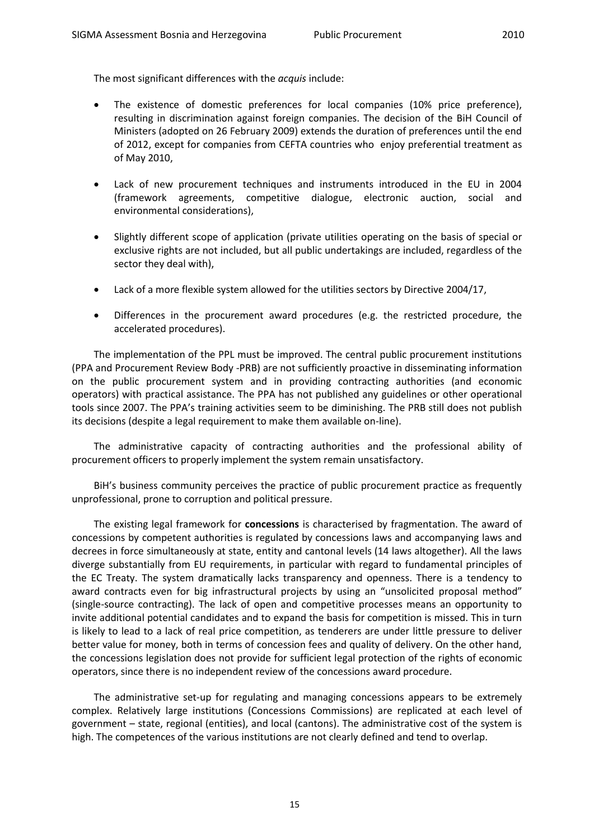The most significant differences with the *acquis* include:

- The existence of domestic preferences for local companies (10% price preference), resulting in discrimination against foreign companies. The decision of the BiH Council of Ministers (adopted on 26 February 2009) extends the duration of preferences until the end of 2012, except for companies from CEFTA countries who enjoy preferential treatment as of May 2010,
- Lack of new procurement techniques and instruments introduced in the EU in 2004 (framework agreements, competitive dialogue, electronic auction, social and environmental considerations),
- Slightly different scope of application (private utilities operating on the basis of special or exclusive rights are not included, but all public undertakings are included, regardless of the sector they deal with),
- Lack of a more flexible system allowed for the utilities sectors by Directive 2004/17,
- Differences in the procurement award procedures (e.g. the restricted procedure, the accelerated procedures).

The implementation of the PPL must be improved. The central public procurement institutions (PPA and Procurement Review Body -PRB) are not sufficiently proactive in disseminating information on the public procurement system and in providing contracting authorities (and economic operators) with practical assistance. The PPA has not published any guidelines or other operational tools since 2007. The PPA's training activities seem to be diminishing. The PRB still does not publish its decisions (despite a legal requirement to make them available on-line).

The administrative capacity of contracting authorities and the professional ability of procurement officers to properly implement the system remain unsatisfactory.

BiH's business community perceives the practice of public procurement practice as frequently unprofessional, prone to corruption and political pressure.

The existing legal framework for **concessions** is characterised by fragmentation. The award of concessions by competent authorities is regulated by concessions laws and accompanying laws and decrees in force simultaneously at state, entity and cantonal levels (14 laws altogether). All the laws diverge substantially from EU requirements, in particular with regard to fundamental principles of the EC Treaty. The system dramatically lacks transparency and openness. There is a tendency to award contracts even for big infrastructural projects by using an "unsolicited proposal method" (single-source contracting). The lack of open and competitive processes means an opportunity to invite additional potential candidates and to expand the basis for competition is missed. This in turn is likely to lead to a lack of real price competition, as tenderers are under little pressure to deliver better value for money, both in terms of concession fees and quality of delivery. On the other hand, the concessions legislation does not provide for sufficient legal protection of the rights of economic operators, since there is no independent review of the concessions award procedure.

The administrative set-up for regulating and managing concessions appears to be extremely complex. Relatively large institutions (Concessions Commissions) are replicated at each level of government – state, regional (entities), and local (cantons). The administrative cost of the system is high. The competences of the various institutions are not clearly defined and tend to overlap.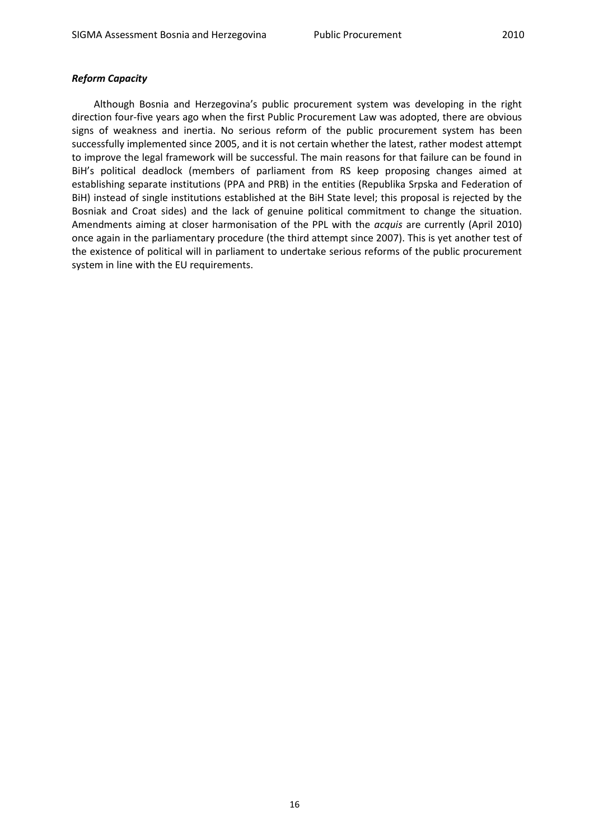#### *Reform Capacity*

Although Bosnia and Herzegovina's public procurement system was developing in the right direction four-five years ago when the first Public Procurement Law was adopted, there are obvious signs of weakness and inertia. No serious reform of the public procurement system has been successfully implemented since 2005, and it is not certain whether the latest, rather modest attempt to improve the legal framework will be successful. The main reasons for that failure can be found in BiH's political deadlock (members of parliament from RS keep proposing changes aimed at establishing separate institutions (PPA and PRB) in the entities (Republika Srpska and Federation of BiH) instead of single institutions established at the BiH State level; this proposal is rejected by the Bosniak and Croat sides) and the lack of genuine political commitment to change the situation. Amendments aiming at closer harmonisation of the PPL with the *acquis* are currently (April 2010) once again in the parliamentary procedure (the third attempt since 2007). This is yet another test of the existence of political will in parliament to undertake serious reforms of the public procurement system in line with the EU requirements.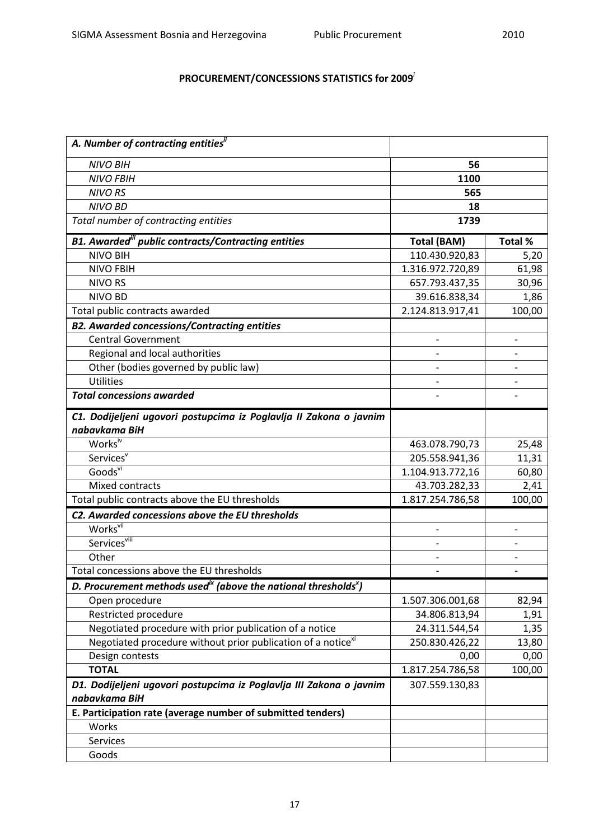### **PROCUREMENT/CONCESSIONS STATISTICS for 2009***<sup>i</sup>*

| A. Number of contracting entities"                                                      |                    |                          |
|-----------------------------------------------------------------------------------------|--------------------|--------------------------|
| <b>NIVO BIH</b>                                                                         | 56                 |                          |
| <b>NIVO FBIH</b>                                                                        | 1100               |                          |
| <b>NIVO RS</b>                                                                          | 565                |                          |
| <b>NIVO BD</b>                                                                          | 18                 |                          |
| Total number of contracting entities                                                    | 1739               |                          |
| <b>B1. Awarded"</b> public contracts/Contracting entities                               | <b>Total (BAM)</b> | Total %                  |
| <b>NIVO BIH</b>                                                                         | 110.430.920,83     | 5,20                     |
| <b>NIVO FBIH</b>                                                                        | 1.316.972.720,89   | 61,98                    |
| <b>NIVO RS</b>                                                                          | 657.793.437,35     | 30,96                    |
| <b>NIVO BD</b>                                                                          | 39.616.838,34      | 1,86                     |
| Total public contracts awarded                                                          | 2.124.813.917,41   | 100,00                   |
| <b>B2. Awarded concessions/Contracting entities</b>                                     |                    |                          |
| <b>Central Government</b>                                                               |                    | $\overline{\phantom{a}}$ |
| Regional and local authorities                                                          |                    |                          |
| Other (bodies governed by public law)                                                   |                    |                          |
| <b>Utilities</b>                                                                        |                    |                          |
| <b>Total concessions awarded</b>                                                        |                    |                          |
| C1. Dodijeljeni ugovori postupcima iz Poglavlja II Zakona o javnim                      |                    |                          |
| nabavkama BiH                                                                           |                    |                          |
| Works <sup>iv</sup>                                                                     | 463.078.790,73     | 25,48                    |
| Services <sup>v</sup>                                                                   | 205.558.941,36     | 11,31                    |
| Goods <sup>vi</sup>                                                                     | 1.104.913.772,16   | 60,80                    |
| Mixed contracts                                                                         | 43.703.282,33      | 2,41                     |
| Total public contracts above the EU thresholds                                          | 1.817.254.786,58   | 100,00                   |
| C2. Awarded concessions above the EU thresholds                                         |                    |                          |
| Works <sup>vii</sup>                                                                    |                    | $\overline{\phantom{0}}$ |
| Services <sup>viii</sup>                                                                |                    |                          |
| Other                                                                                   |                    |                          |
| Total concessions above the EU thresholds                                               |                    |                          |
| D. Procurement methods used <sup>ix</sup> (above the national thresholds <sup>x</sup> ) |                    |                          |
| Open procedure                                                                          | 1.507.306.001,68   | 82,94                    |
| Restricted procedure                                                                    | 34.806.813,94      | 1,91                     |
| Negotiated procedure with prior publication of a notice                                 | 24.311.544,54      | 1,35                     |
| Negotiated procedure without prior publication of a notice <sup>xi</sup>                | 250.830.426,22     | 13,80                    |
| Design contests                                                                         | 0,00               | 0,00                     |
| <b>TOTAL</b>                                                                            | 1.817.254.786,58   | 100,00                   |
| D1. Dodijeljeni ugovori postupcima iz Poglavlja III Zakona o javnim                     | 307.559.130,83     |                          |
| nabavkama BiH                                                                           |                    |                          |
| E. Participation rate (average number of submitted tenders)                             |                    |                          |
| Works                                                                                   |                    |                          |
| Services                                                                                |                    |                          |
| Goods                                                                                   |                    |                          |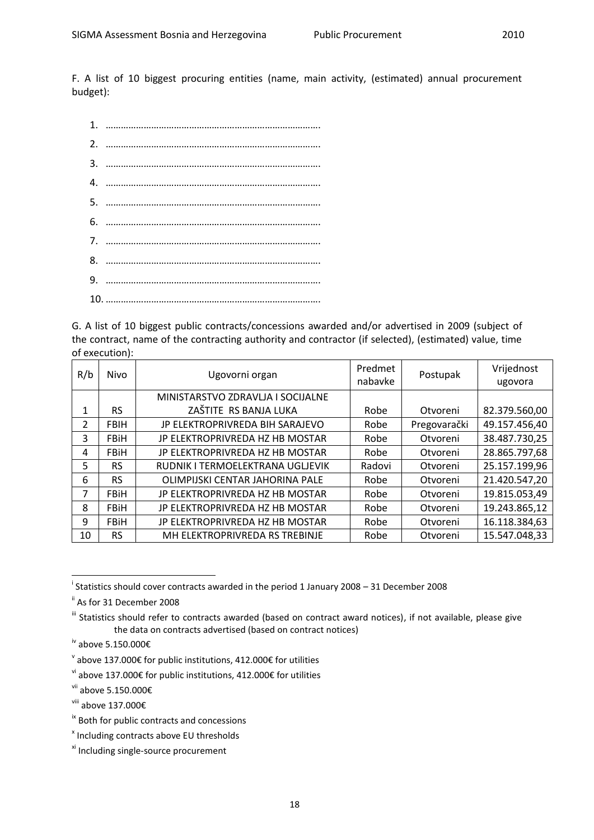F. A list of 10 biggest procuring entities (name, main activity, (estimated) annual procurement budget):

G. A list of 10 biggest public contracts/concessions awarded and/or advertised in 2009 (subject of the contract, name of the contracting authority and contractor (if selected), (estimated) value, time of execution):

| R/b | Nivo        | Ugovorni organ                    | Predmet<br>nabavke | Postupak     | Vrijednost<br>ugovora |
|-----|-------------|-----------------------------------|--------------------|--------------|-----------------------|
|     |             | MINISTARSTVO ZDRAVLJA I SOCIJALNE |                    |              |                       |
| 1   | RS.         | ZAŠTITE RS BANJA LUKA             | Robe               | Otvoreni     | 82.379.560,00         |
| 2   | <b>FBIH</b> | JP ELEKTROPRIVREDA BIH SARAJEVO   | Robe               | Pregovarački | 49.157.456,40         |
| 3   | <b>FBiH</b> | JP ELEKTROPRIVREDA HZ HB MOSTAR   | Robe               | Otvoreni     | 38.487.730,25         |
| 4   | <b>FBiH</b> | JP ELEKTROPRIVREDA HZ HB MOSTAR   | Robe               | Otvoreni     | 28.865.797,68         |
| 5   | <b>RS</b>   | RUDNIK I TERMOELEKTRANA UGLJEVIK  | Radovi             | Otvoreni     | 25.157.199,96         |
| 6   | <b>RS</b>   | OLIMPIJSKI CENTAR JAHORINA PALE   | Robe               | Otvoreni     | 21.420.547,20         |
| 7   | <b>FBiH</b> | JP ELEKTROPRIVREDA HZ HB MOSTAR   | Robe               | Otvoreni     | 19.815.053,49         |
| 8   | <b>FBiH</b> | JP ELEKTROPRIVREDA HZ HB MOSTAR   | Robe               | Otvoreni     | 19.243.865,12         |
| 9   | <b>FBiH</b> | JP ELEKTROPRIVREDA HZ HB MOSTAR   | Robe               | Otvoreni     | 16.118.384,63         |
| 10  | <b>RS</b>   | MH ELEKTROPRIVREDA RS TREBINJE    | Robe               | Otvoreni     | 15.547.048,33         |

i Statistics should cover contracts awarded in the period 1 January 2008 – 31 December 2008

1

ii As for 31 December 2008

<sup>&</sup>lt;sup>iii</sup> Statistics should refer to contracts awarded (based on contract award notices), if not available, please give the data on contracts advertised (based on contract notices)

iv above 5.150.000€

 $\textsuperscript{v}$  above 137.000€ for public institutions, 412.000€ for utilities

 $v$ <sup>i</sup> above 137.000€ for public institutions, 412.000€ for utilities

vii above 5.150.000€

viii above 137.000€

ix Both for public contracts and concessions

x Including contracts above EU thresholds

xi Including single-source procurement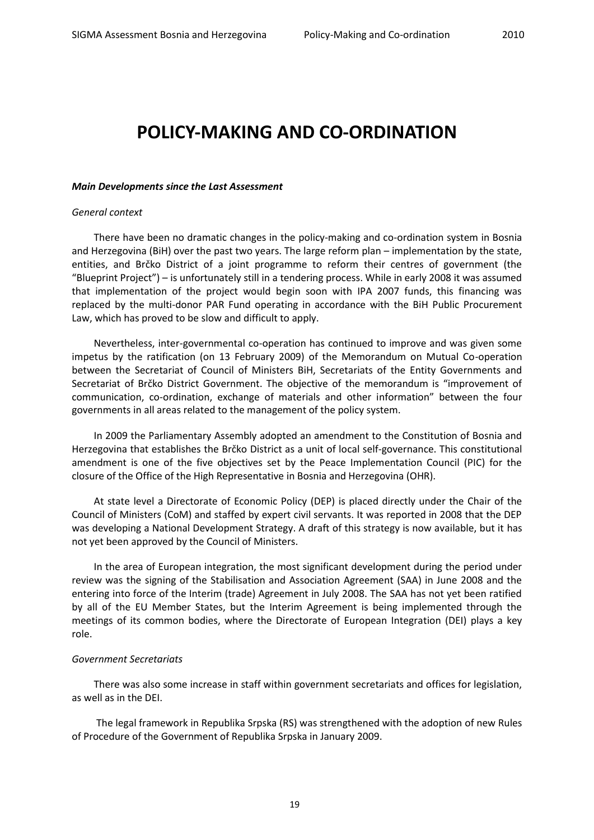### <span id="page-18-0"></span>**POLICY-MAKING AND CO-ORDINATION**

#### *Main Developments since the Last Assessment*

#### *General context*

There have been no dramatic changes in the policy-making and co-ordination system in Bosnia and Herzegovina (BiH) over the past two years. The large reform plan – implementation by the state, entities, and Brčko District of a joint programme to reform their centres of government (the "Blueprint Project") – is unfortunately still in a tendering process. While in early 2008 it was assumed that implementation of the project would begin soon with IPA 2007 funds, this financing was replaced by the multi-donor PAR Fund operating in accordance with the BiH Public Procurement Law, which has proved to be slow and difficult to apply.

Nevertheless, inter-governmental co-operation has continued to improve and was given some impetus by the ratification (on 13 February 2009) of the Memorandum on Mutual Co-operation between the Secretariat of Council of Ministers BiH, Secretariats of the Entity Governments and Secretariat of Brčko District Government. The objective of the memorandum is "improvement of communication, co-ordination, exchange of materials and other information" between the four governments in all areas related to the management of the policy system.

In 2009 the Parliamentary Assembly adopted an amendment to the Constitution of Bosnia and Herzegovina that establishes the Brčko District as a unit of local self-governance. This constitutional amendment is one of the five objectives set by the Peace Implementation Council (PIC) for the closure of the Office of the High Representative in Bosnia and Herzegovina (OHR).

At state level a Directorate of Economic Policy (DEP) is placed directly under the Chair of the Council of Ministers (CoM) and staffed by expert civil servants. It was reported in 2008 that the DEP was developing a National Development Strategy. A draft of this strategy is now available, but it has not yet been approved by the Council of Ministers.

In the area of European integration, the most significant development during the period under review was the signing of the Stabilisation and Association Agreement (SAA) in June 2008 and the entering into force of the Interim (trade) Agreement in July 2008. The SAA has not yet been ratified by all of the EU Member States, but the Interim Agreement is being implemented through the meetings of its common bodies, where the Directorate of European Integration (DEI) plays a key role.

#### *Government Secretariats*

There was also some increase in staff within government secretariats and offices for legislation, as well as in the DEI.

The legal framework in Republika Srpska (RS) was strengthened with the adoption of new Rules of Procedure of the Government of Republika Srpska in January 2009.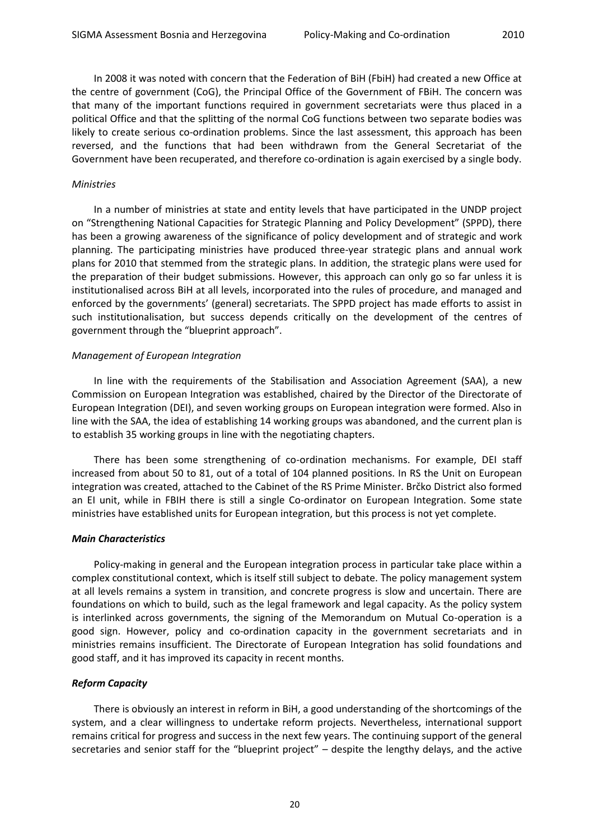In 2008 it was noted with concern that the Federation of BiH (FbiH) had created a new Office at the centre of government (CoG), the Principal Office of the Government of FBiH. The concern was that many of the important functions required in government secretariats were thus placed in a political Office and that the splitting of the normal CoG functions between two separate bodies was likely to create serious co-ordination problems. Since the last assessment, this approach has been reversed, and the functions that had been withdrawn from the General Secretariat of the

Government have been recuperated, and therefore co-ordination is again exercised by a single body.

#### *Ministries*

In a number of ministries at state and entity levels that have participated in the UNDP project on "Strengthening National Capacities for Strategic Planning and Policy Development" (SPPD), there has been a growing awareness of the significance of policy development and of strategic and work planning. The participating ministries have produced three-year strategic plans and annual work plans for 2010 that stemmed from the strategic plans. In addition, the strategic plans were used for the preparation of their budget submissions. However, this approach can only go so far unless it is institutionalised across BiH at all levels, incorporated into the rules of procedure, and managed and enforced by the governments' (general) secretariats. The SPPD project has made efforts to assist in such institutionalisation, but success depends critically on the development of the centres of government through the "blueprint approach".

#### *Management of European Integration*

In line with the requirements of the Stabilisation and Association Agreement (SAA), a new Commission on European Integration was established, chaired by the Director of the Directorate of European Integration (DEI), and seven working groups on European integration were formed. Also in line with the SAA, the idea of establishing 14 working groups was abandoned, and the current plan is to establish 35 working groups in line with the negotiating chapters.

There has been some strengthening of co-ordination mechanisms. For example, DEI staff increased from about 50 to 81, out of a total of 104 planned positions. In RS the Unit on European integration was created, attached to the Cabinet of the RS Prime Minister. Brčko District also formed an EI unit, while in FBIH there is still a single Co-ordinator on European Integration. Some state ministries have established units for European integration, but this process is not yet complete.

#### *Main Characteristics*

Policy-making in general and the European integration process in particular take place within a complex constitutional context, which is itself still subject to debate. The policy management system at all levels remains a system in transition, and concrete progress is slow and uncertain. There are foundations on which to build, such as the legal framework and legal capacity. As the policy system is interlinked across governments, the signing of the Memorandum on Mutual Co-operation is a good sign. However, policy and co-ordination capacity in the government secretariats and in ministries remains insufficient. The Directorate of European Integration has solid foundations and good staff, and it has improved its capacity in recent months.

#### *Reform Capacity*

There is obviously an interest in reform in BiH, a good understanding of the shortcomings of the system, and a clear willingness to undertake reform projects. Nevertheless, international support remains critical for progress and success in the next few years. The continuing support of the general secretaries and senior staff for the "blueprint project" – despite the lengthy delays, and the active